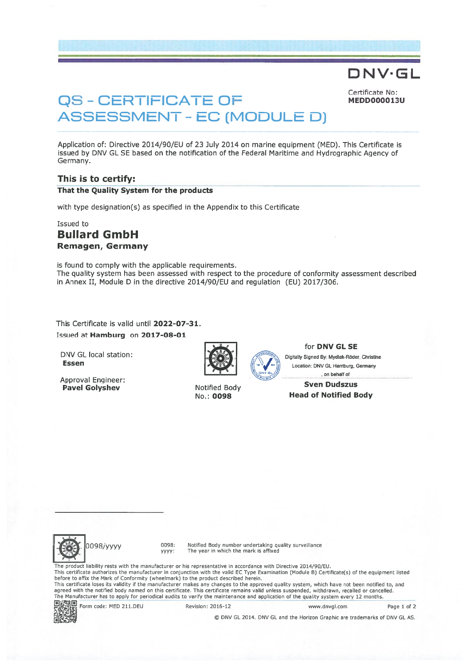# QS - CERTIFICATE OF MEDDOOD013U ASSESSMENT -EC (MODULE D)

Certificate No:

DNV•GL

Application of: Directive 2014/90/EU of 23 July 2014 on marine equipment (MED). This Certificate is issued by DNV GL SE based on the notification of the Federal Maritime and Hydrographic Agency of Germany.

#### This is to certify:

That the Quality System for the products

with type designation(s) as specified in the Appendix to this Certificate

## Issued to

## Bullard GmbH Remagen, Germany

is found to comply with the applicable requirements. The quality system has been assessed with respec<sup>t</sup> to the procedure of conformity assessment described in Annex II, Module D in the directive 2014/90/EU and regulation (EU) 2017/306.

This Certificate is valid until 2022-07-31. Issued at Hamburg on 2017-08-01

DNV GL local station: Digitally Signed By: Mydlak-Röder, Christine<br>
Essen

Approval Engineer.



for **DNV GL SE** 

Location: DNV GL Hamburg, Germany , on behalf of

#### Approval Engilleer.<br>
Pavel Golyshev **Notified Body** Sven Dudszus<br>
No.: 0098 **Head of Notified B Head of Notified Body**



ti te vez we

Ø 0098/yyyy 0098: Notified Body number undertaking quality surveillance yyyy: The year in which the mark is affixed

The product liability rests with the manufecturer or his representative in accordance with Directive 2014/90/EU. This certificate authorizes the manufacturer in conjunction with the valid EC Type Examination (Module B) Certificate(s) of the equipment listed before to affix the Mark of Conformity (wheelmark) to the product described herein.<br>This certificate loses its validity if the manufacturer makes any changes to the approved quality system, which have not been notified to, The Manufacturer has to apply for periodical audits to verify the maintenance and application of the quality system avery <sup>12</sup> months.

同步残画 Form code: MED 211.DEU Revision: 2016-12 www.dnvgl.com Page i of 2

© DNV GL 2014. DNV GL and the Horizon Graphic are trademarks of DNV GLAS.